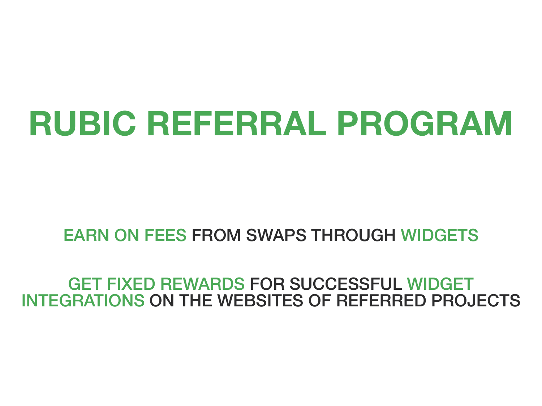# **RUBIC REFERRAL PROGRAM**

### EARN ON FEES FROM SWAPS THROUGH WIDGETS

### GET FIXED REWARDS FOR SUCCESSFUL WIDGET INTEGRATIONS ON THE WEBSITES OF REFERRED PROJECTS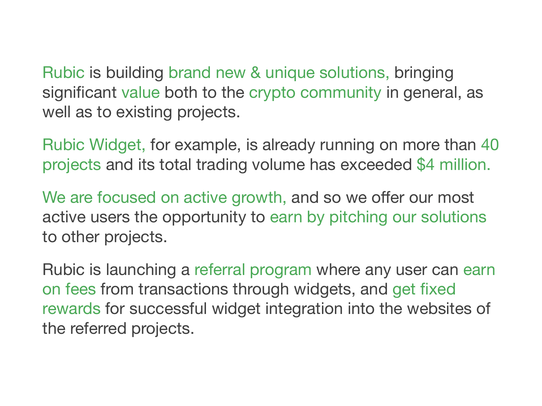Rubic is building brand new & unique solutions, bringing significant value both to the crypto community in general, as well as to existing projects.

Rubic Widget, for example, is already running on more than 40 projects and its total trading volume has exceeded \$4 million.

We are focused on active growth, and so we offer our most active users the opportunity to earn by pitching our solutions to other projects.

Rubic is launching a referral program where any user can earn on fees from transactions through widgets, and get fixed rewards for successful widget integration into the websites of the referred projects.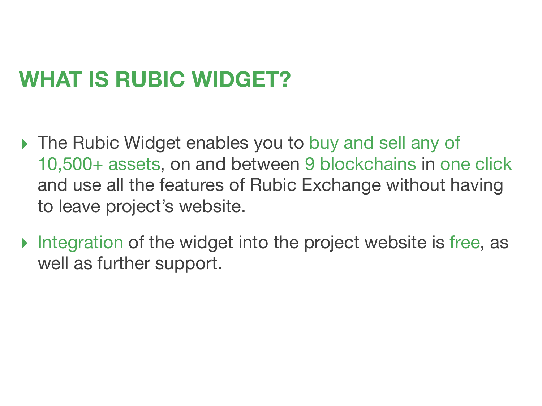# **WHAT IS RUBIC WIDGET?**

- ▸ The Rubic Widget enables you to buy and sell any of 10,500+ assets, on and between 9 blockchains in one click and use all the features of Rubic Exchange without having to leave project's website.
- ▸ Integration of the widget into the project website is free, as well as further support.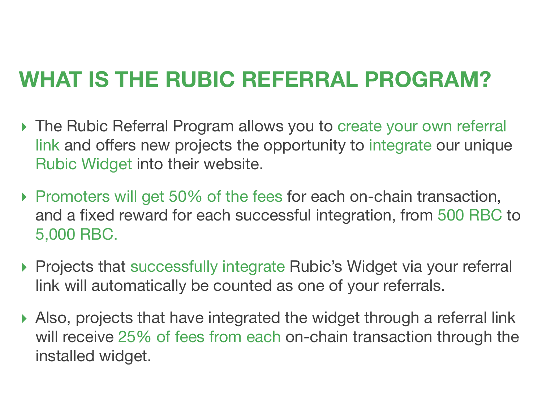# **WHAT IS THE RUBIC REFERRAL PROGRAM?**

- ▸ The Rubic Referral Program allows you to create your own referral link and offers new projects the opportunity to integrate our unique Rubic Widget into their website.
- ▸ Promoters will get 50% of the fees for each on-сhain transaction, and a fixed reward for each successful integration, from 500 RBC to 5,000 RBC.
- ▸ Projects that successfully integrate Rubic's Widget via your referral link will automatically be counted as one of your referrals.
- ▸ Also, projects that have integrated the widget through a referral link will receive 25% of fees from each on-chain transaction through the installed widget.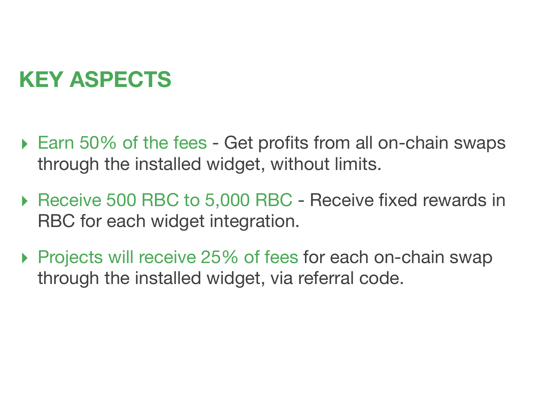# **KEY ASPECTS**

- $\triangleright$  Earn 50% of the fees Get profits from all on-chain swaps through the installed widget, without limits.
- ▸ Receive 500 RBC to 5,000 RBC Receive fixed rewards in RBC for each widget integration.
- ▸ Projects will receive 25% of fees for each on-chain swap through the installed widget, via referral code.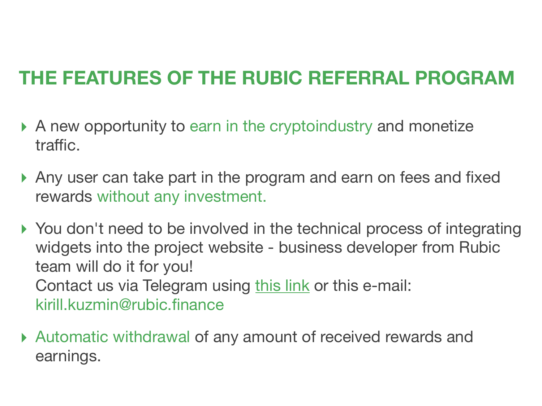### **THE FEATURES OF THE RUBIC REFERRAL PROGRAM**

- ▸ A new opportunity to earn in the cryptoindustry and monetize traffic.
- ▸ Any user can take part in the program and earn on fees and fixed rewards without any investment.
- ▸ You don't need to be involved in the technical process of integrating widgets into the project website - business developer from Rubic team will do it for you! Contact us via Telegram using [this link](https://t.me/KirKuzmin) or this e-mail: [kirill.kuzmin@rubic.finance](mailto:kirill.kuzmin@rubic.finance)
- ▸ Automatic withdrawal of any amount of received rewards and earnings.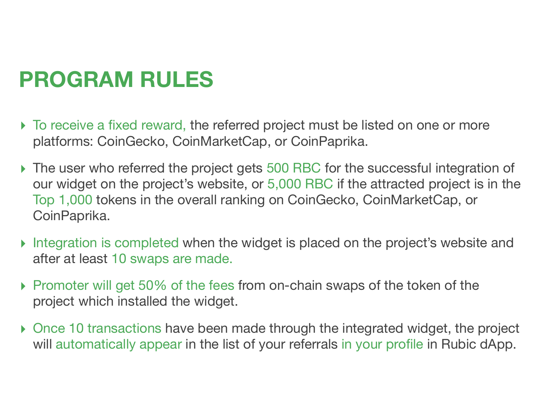# **PROGRAM RULES**

- ▸ To receive a fixed reward, the referred project must be listed on one or more platforms: CoinGecko, CoinMarketCap, or CoinPaprika.
- ▸ The user who referred the project gets 500 RBC for the successful integration of our widget on the project's website, or 5,000 RBC if the attracted project is in the Top 1,000 tokens in the overall ranking on CoinGecko, CoinMarketCap, or CoinPaprika.
- ▸ Integration is completed when the widget is placed on the project's website and after at least 10 swaps are made.
- ▸ Promoter will get 50% of the fees from on-chain swaps of the token of the project which installed the widget.
- ▸ Once 10 transactions have been made through the integrated widget, the project will automatically appear in the list of your referrals in your profile in Rubic dApp.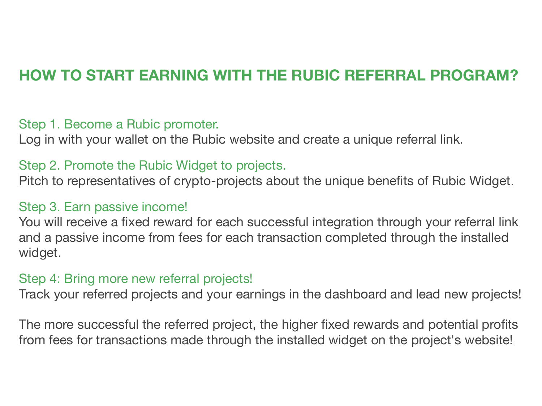### **HOW TO START EARNING WITH THE RUBIC REFERRAL PROGRAM?**

#### Step 1. Become a Rubic promoter.

Log in with your wallet on the Rubic website and create a unique referral link.

#### Step 2. Promote the Rubic Widget to projects.

Pitch to representatives of crypto-projects about the unique benefits of Rubic Widget.

#### Step 3. Earn passive income!

You will receive a fixed reward for each successful integration through your referral link and a passive income from fees for each transaction completed through the installed widget.

#### Step 4: Bring more new referral projects!

Track your referred projects and your earnings in the dashboard and lead new projects!

The more successful the referred project, the higher fixed rewards and potential profits from fees for transactions made through the installed widget on the project's website!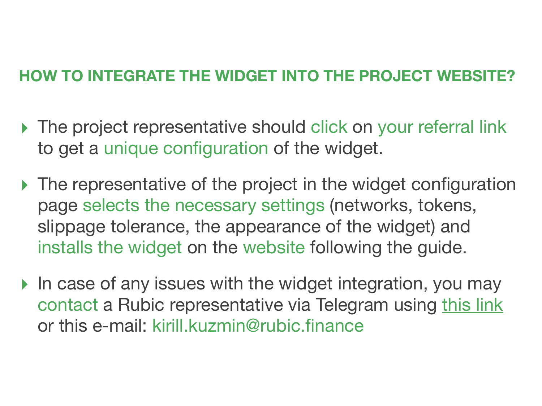### **HOW TO INTEGRATE THE WIDGET INTO THE PROJECT WEBSITE?**

- ▸ The project representative should click on your referral link to get a unique configuration of the widget.
- ▸ The representative of the project in the widget configuration page selects the necessary settings (networks, tokens, slippage tolerance, the appearance of the widget) and installs the widget on the website following the guide.
- ▸ In case of any issues with the widget integration, you may contact a Rubic representative via Telegram using [this link](https://t.me/KirKuzmin) or this e-mail: [kirill.kuzmin@rubic.finance](mailto:kirill.kuzmin@rubic.finance)